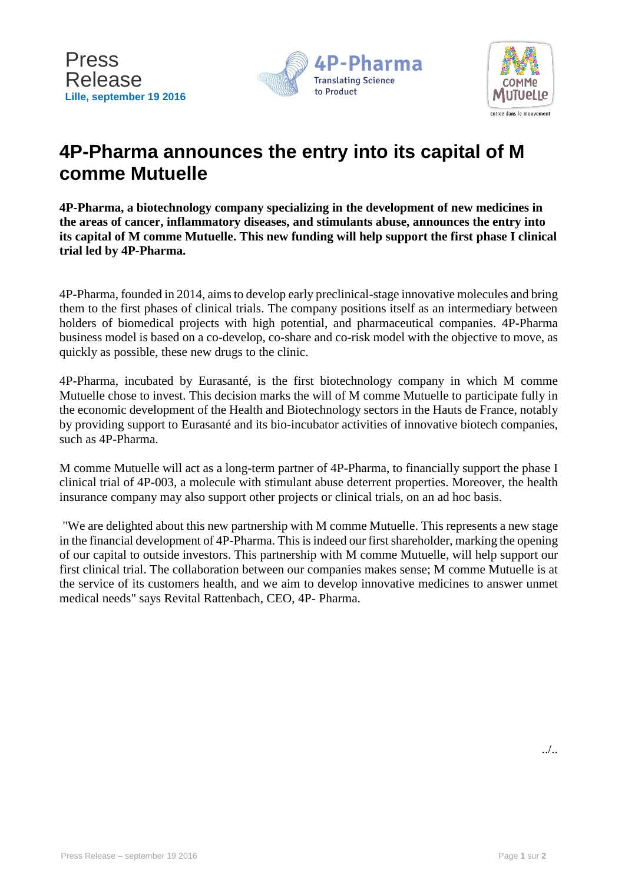



# **4P-Pharma announces the entry into its capital of M comme Mutuelle**

**4P-Pharma, a biotechnology company specializing in the development of new medicines in the areas of cancer, inflammatory diseases, and stimulants abuse, announces the entry into its capital of M comme Mutuelle. This new funding will help support the first phase I clinical trial led by 4P-Pharma.**

4P-Pharma, founded in 2014, aims to develop early preclinical-stage innovative molecules and bring them to the first phases of clinical trials. The company positions itself as an intermediary between holders of biomedical projects with high potential, and pharmaceutical companies. 4P-Pharma business model is based on a co-develop, co-share and co-risk model with the objective to move, as quickly as possible, these new drugs to the clinic.

4P-Pharma, incubated by Eurasanté, is the first biotechnology company in which M comme Mutuelle chose to invest. This decision marks the will of M comme Mutuelle to participate fully in the economic development of the Health and Biotechnology sectors in the Hauts de France, notably by providing support to Eurasanté and its bio-incubator activities of innovative biotech companies, such as 4P-Pharma.

M comme Mutuelle will act as a long-term partner of 4P-Pharma, to financially support the phase I clinical trial of 4P-003, a molecule with stimulant abuse deterrent properties. Moreover, the health insurance company may also support other projects or clinical trials, on an ad hoc basis.

"We are delighted about this new partnership with M comme Mutuelle. This represents a new stage in the financial development of 4P-Pharma. This is indeed our first shareholder, marking the opening of our capital to outside investors. This partnership with M comme Mutuelle, will help support our first clinical trial. The collaboration between our companies makes sense; M comme Mutuelle is at the service of its customers health, and we aim to develop innovative medicines to answer unmet medical needs" says Revital Rattenbach, CEO, 4P- Pharma.